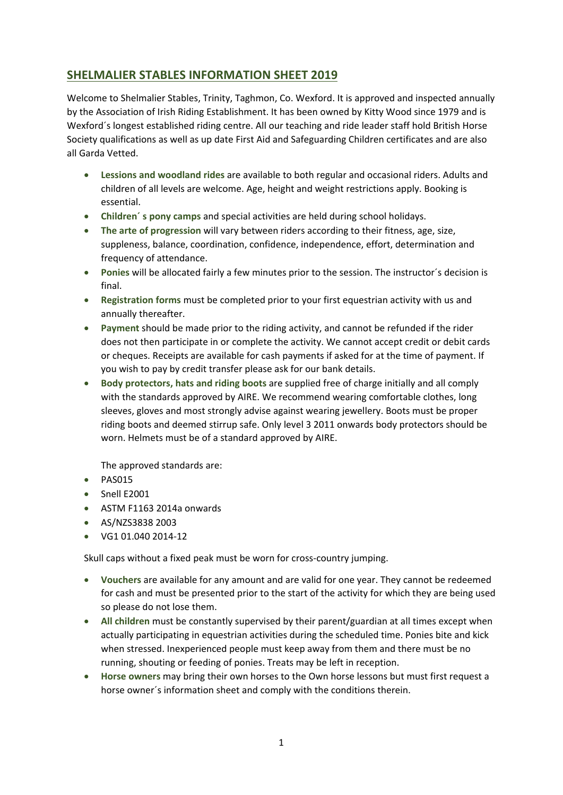## **SHELMALIER STABLES INFORMATION SHEET 2019**

Welcome to Shelmalier Stables, Trinity, Taghmon, Co. Wexford. It is approved and inspected annually by the Association of Irish Riding Establishment. It has been owned by Kitty Wood since 1979 and is Wexford´s longest established riding centre. All our teaching and ride leader staff hold British Horse Society qualifications as well as up date First Aid and Safeguarding Children certificates and are also all Garda Vetted.

- **Lessions and woodland rides** are available to both regular and occasional riders. Adults and children of all levels are welcome. Age, height and weight restrictions apply. Booking is essential.
- **Children´ s pony camps** and special activities are held during school holidays.
- **The arte of progression** will vary between riders according to their fitness, age, size, suppleness, balance, coordination, confidence, independence, effort, determination and frequency of attendance.
- **Ponies** will be allocated fairly a few minutes prior to the session. The instructor´s decision is final.
- **Registration forms** must be completed prior to your first equestrian activity with us and annually thereafter.
- **Payment** should be made prior to the riding activity, and cannot be refunded if the rider does not then participate in or complete the activity. We cannot accept credit or debit cards or cheques. Receipts are available for cash payments if asked for at the time of payment. If you wish to pay by credit transfer please ask for our bank details.
- **Body protectors, hats and riding boots are supplied free of charge initially and all comply** with the standards approved by AIRE. We recommend wearing comfortable clothes, long sleeves, gloves and most strongly advise against wearing jewellery. Boots must be proper riding boots and deemed stirrup safe. Only level 3 2011 onwards body protectors should be worn. Helmets must be of a standard approved by AIRE.

The approved standards are:

- $\bullet$  PAS015
- Snell E2001
- ASTM F1163 2014a onwards
- AS/NZS3838 2003
- VG1 01.040 2014‐12

Skull caps without a fixed peak must be worn for cross‐country jumping.

- **Vouchers** are available for any amount and are valid for one year. They cannot be redeemed for cash and must be presented prior to the start of the activity for which they are being used so please do not lose them.
- **All children** must be constantly supervised by their parent/guardian at all times except when actually participating in equestrian activities during the scheduled time. Ponies bite and kick when stressed. Inexperienced people must keep away from them and there must be no running, shouting or feeding of ponies. Treats may be left in reception.
- **Horse owners** may bring their own horses to the Own horse lessons but must first request a horse owner´s information sheet and comply with the conditions therein.